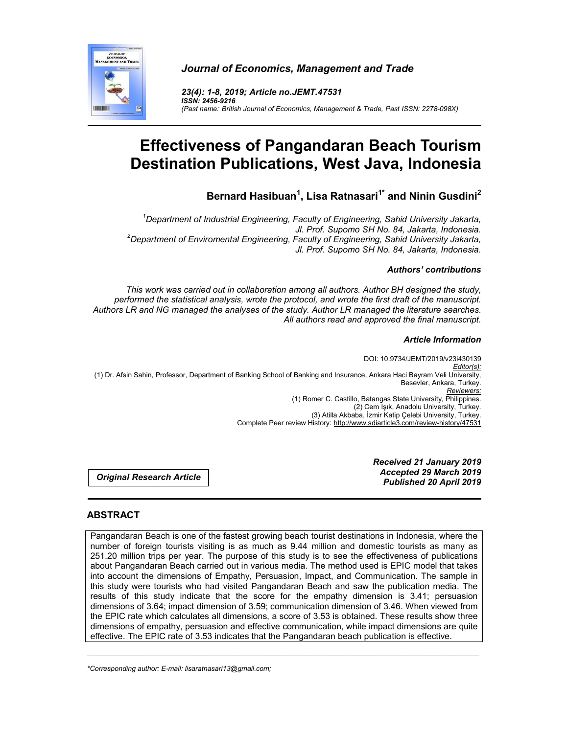

*Journal of Economics, Management and Trade*

*23(4): 1-8, 2019; Article no.JEMT.47531 ISSN: 2456-9216 (Past name: British Journal of Economics, Management & Trade, Past ISSN: 2278-098X)*

# **Effectiveness of Pangandaran Beach Tourism Destination Publications, West Java, Indonesia**

**Bernard Hasibuan<sup>1</sup> , Lisa Ratnasari1\* and Ninin Gusdini2**

*1 Department of Industrial Engineering, Faculty of Engineering, Sahid University Jakarta, Jl. Prof. Supomo SH No. 84, Jakarta, Indonesia. <sup>2</sup> Department of Enviromental Engineering, Faculty of Engineering, Sahid University Jakarta, Jl. Prof. Supomo SH No. 84, Jakarta, Indonesia.*

# *Authors' contributions*

*This work was carried out in collaboration among all authors. Author BH designed the study, performed the statistical analysis, wrote the protocol, and wrote the first draft of the manuscript. Authors LR and NG managed the analyses of the study. Author LR managed the literature searches. All authors read and approved the final manuscript.*

## *Article Information*

DOI: 10.9734/JEMT/2019/v23i430139 *Editor(s):* (1) Dr. Afsin Sahin, Professor, Department of Banking School of Banking and Insurance, Ankara Haci Bayram Veli University, Besevler, Ankara, Turkey. *Reviewers:* (1) Romer C. Castillo, Batangas State University, Philippines. (2) Cem Işık, Anadolu University, Turkey. (3) Atilla Akbaba, İzmir Katip Çelebi University, Turkey. Complete Peer review History: http://www.sdiarticle3.com/review-history/47531

*Original Research Article*

*Received 21 January 2019 Accepted 29 March 2019 Published 20 April 2019*

# **ABSTRACT**

Pangandaran Beach is one of the fastest growing beach tourist destinations in Indonesia, where the number of foreign tourists visiting is as much as 9.44 million and domestic tourists as many as 251.20 million trips per year. The purpose of this study is to see the effectiveness of publications about Pangandaran Beach carried out in various media. The method used is EPIC model that takes into account the dimensions of Empathy, Persuasion, Impact, and Communication. The sample in this study were tourists who had visited Pangandaran Beach and saw the publication media. The results of this study indicate that the score for the empathy dimension is 3.41; persuasion dimensions of 3.64; impact dimension of 3.59; communication dimension of 3.46. When viewed from the EPIC rate which calculates all dimensions, a score of 3.53 is obtained. These results show three dimensions of empathy, persuasion and effective communication, while impact dimensions are quite effective. The EPIC rate of 3.53 indicates that the Pangandaran beach publication is effective.

\_\_\_\_\_\_\_\_\_\_\_\_\_\_\_\_\_\_\_\_\_\_\_\_\_\_\_\_\_\_\_\_\_\_\_\_\_\_\_\_\_\_\_\_\_\_\_\_\_\_\_\_\_\_\_\_\_\_\_\_\_\_\_\_\_\_\_\_\_\_\_\_\_\_\_\_\_\_\_\_\_\_\_\_\_\_\_\_\_\_\_\_\_\_\_\_\_\_\_\_\_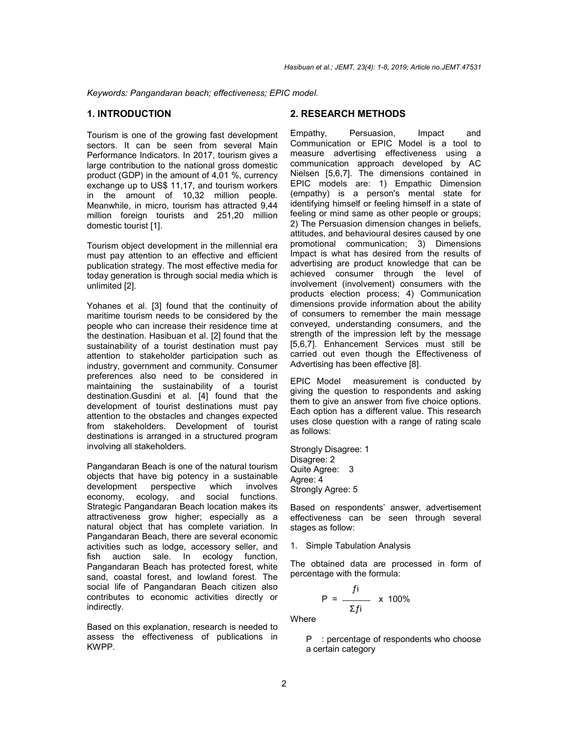*Keywords: Pangandaran beach; effectiveness; EPIC model.*

#### **1. INTRODUCTION**

Tourism is one of the growing fast development sectors. It can be seen from several Main Performance Indicators. In 2017, tourism gives a large contribution to the national gross domestic product (GDP) in the amount of 4,01 %, currency exchange up to US\$ 11,17, and tourism workers in the amount of 10,32 million people. Meanwhile, in micro, tourism has attracted 9,44 million foreign tourists and 251,20 million domestic tourist [1].

Tourism object development in the millennial era must pay attention to an effective and efficient publication strategy. The most effective media for today generation is through social media which is unlimited [2].

Yohanes et al. [3] found that the continuity of maritime tourism needs to be considered by the people who can increase their residence time at the destination. Hasibuan et al. [2] found that the sustainability of a tourist destination must pay attention to stakeholder participation such as industry, government and community. Consumer preferences also need to be considered in maintaining the sustainability of a tourist destination.Gusdini et al. [4] found that the development of tourist destinations must pay attention to the obstacles and changes expected from stakeholders. Development of tourist destinations is arranged in a structured program involving all stakeholders.

Pangandaran Beach is one of the natural tourism objects that have big potency in a sustainable development perspective which involves economy, ecology, and social functions. Strategic Pangandaran Beach location makes its attractiveness grow higher; especially as a natural object that has complete variation. In Pangandaran Beach, there are several economic activities such as lodge, accessory seller, and fish auction sale. In ecology function, Pangandaran Beach has protected forest, white sand, coastal forest, and lowland forest. The social life of Pangandaran Beach citizen also contributes to economic activities directly or indirectly.

Based on this explanation, research is needed to assess the effectiveness of publications in KWPP.

# **2. RESEARCH METHODS**

Empathy, Persuasion, Impact and Communication or EPIC Model is a tool to measure advertising effectiveness using a communication approach developed by AC Nielsen [5,6,7]. The dimensions contained in EPIC models are: 1) Empathic Dimension (empathy) is a person's mental state for identifying himself or feeling himself in a state of feeling or mind same as other people or groups; 2) The Persuasion dimension changes in beliefs, attitudes, and behavioural desires caused by one promotional communication; 3) Dimensions Impact is what has desired from the results of advertising are product knowledge that can be achieved consumer through the level of involvement (involvement) consumers with the products election process; 4) Communication dimensions provide information about the ability of consumers to remember the main message conveyed, understanding consumers, and the strength of the impression left by the message [5,6,7]. Enhancement Services must still be carried out even though the Effectiveness of Advertising has been effective [8].

EPIC Model measurement is conducted by giving the question to respondents and asking them to give an answer from five choice options. Each option has a different value. This research uses close question with a range of rating scale as follows:

Strongly Disagree: 1 Disagree: 2 Quite Agree: 3 Agree: 4 Strongly Agree: 5

Based on respondents' answer, advertisement effectiveness can be seen through several stages as follow:

#### 1. Simple Tabulation Analysis

The obtained data are processed in form of percentage with the formula:

$$
P = \frac{f_i}{\Sigma f_i} \times 100\%
$$

**Where** 

P : percentage of respondents who choose a certain category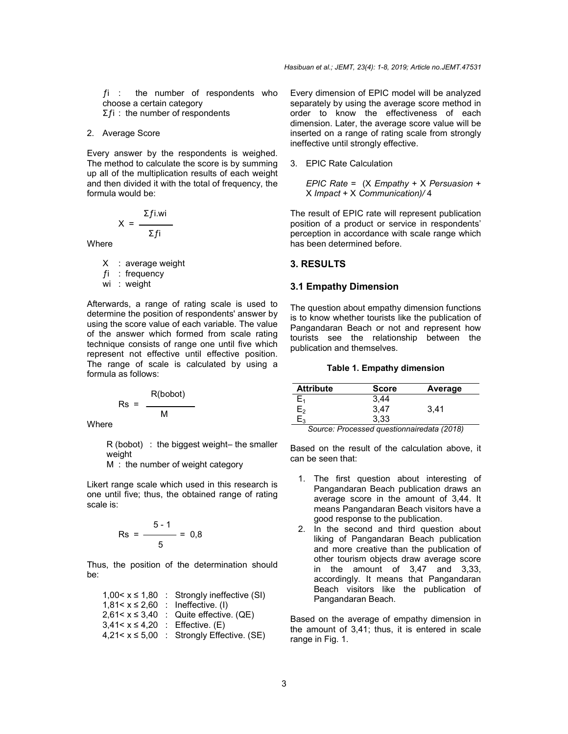$fi$  : the number of respondents who choose a certain category  $\Sigma f$ i : the number of respondents

#### 2. Average Score

Every answer by the respondents is weighed. The method to calculate the score is by summing up all of the multiplication results of each weight and then divided it with the total of frequency, the formula would be:

$$
X = \frac{\sum f i.wi}{\sum f i}
$$

Where

- X : average weight
- $fi$  : frequency
- wi : weight

Afterwards, a range of rating scale is used to determine the position of respondents' answer by using the score value of each variable. The value of the answer which formed from scale rating technique consists of range one until five which represent not effective until effective position. The range of scale is calculated by using a formula as follows:

$$
Rs = \frac{R(bobot)}{M}
$$

**Where** 

R (bobot) : the biggest weight– the smaller weight

M : the number of weight category

Likert range scale which used in this research is one until five; thus, the obtained range of rating scale is:

$$
\text{Rs} = \frac{5-1}{5} = 0.8
$$

Thus, the position of the determination should be:

| $1,00 < x \le 1,80$  | : Strongly ineffective (SI)        |
|----------------------|------------------------------------|
| $1.81 < x \leq 2.60$ | : Ineffective. $(I)$               |
| $2.61 < x \leq 3.40$ | $\therefore$ Quite effective. (QE) |
| $3,41 < x \le 4,20$  | : Effective. $(E)$                 |
| $4,21 < x \le 5,00$  | : Strongly Effective. (SE)         |

Every dimension of EPIC model will be analyzed separately by using the average score method in order to know the effectiveness of each dimension. Later, the average score value will be inserted on a range of rating scale from strongly ineffective until strongly effective.

#### 3. EPIC Rate Calculation

*EPIC Rate* = (X *Empathy* + X *Persuasion* + X *Impact* + X *Communication)/* 4

The result of EPIC rate will represent publication position of a product or service in respondents' perception in accordance with scale range which has been determined before.

#### **3. RESULTS**

#### **3.1 Empathy Dimension**

The question about empathy dimension functions is to know whether tourists like the publication of Pangandaran Beach or not and represent how tourists see the relationship between the publication and themselves.

#### **Table 1. Empathy dimension**

| <b>Attribute</b> | <b>Score</b> | Average |
|------------------|--------------|---------|
|                  | 3,44         |         |
| $\mathsf{E}_2$   | 3,47         | 3.41    |
| ⊒จ               | 3,33         |         |

*Source: Processed questionnairedata (2018)*

Based on the result of the calculation above, it can be seen that:

- 1. The first question about interesting of Pangandaran Beach publication draws an average score in the amount of 3,44. It means Pangandaran Beach visitors have a good response to the publication.
- 2. In the second and third question about liking of Pangandaran Beach publication and more creative than the publication of other tourism objects draw average score in the amount of 3,47 and 3,33, accordingly. It means that Pangandaran Beach visitors like the publication of Pangandaran Beach.

Based on the average of empathy dimension in the amount of 3,41; thus, it is entered in scale range in Fig. 1.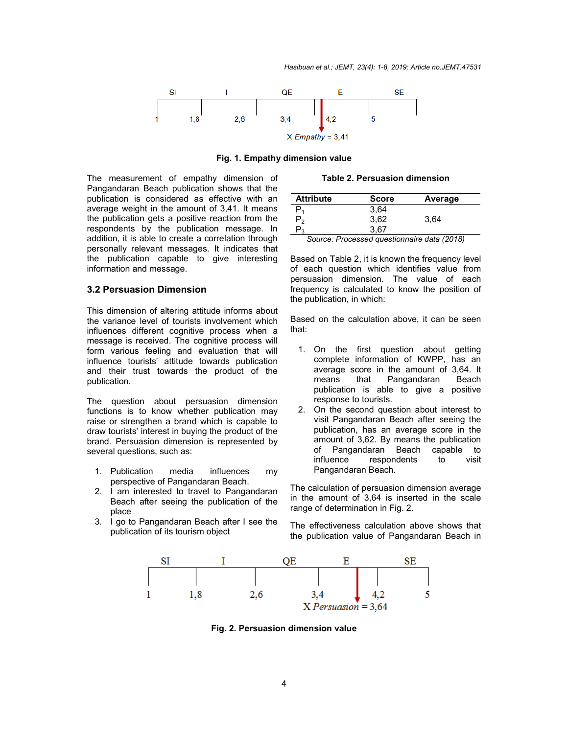

**Fig. 1. Empathy dimension value**

The measurement of empathy dimension of Pangandaran Beach publication shows that the publication is considered as effective with an average weight in the amount of 3,41. It means the publication gets a positive reaction from the respondents by the publication message. In addition, it is able to create a correlation through personally relevant messages. It indicates that the publication capable to give interesting information and message.

### **3.2 Persuasion Dimension**

This dimension of altering attitude informs about the variance level of tourists involvement which influences different cognitive process when a message is received. The cognitive process will form various feeling and evaluation that will influence tourists' attitude towards publication and their trust towards the product of the publication.

The question about persuasion dimension functions is to know whether publication may raise or strengthen a brand which is capable to draw tourists' interest in buying the product of the brand. Persuasion dimension is represented by several questions, such as:

- 1. Publication media influences my perspective of Pangandaran Beach.
- 2. I am interested to travel to Pangandaran Beach after seeing the publication of the place
- 3. I go to Pangandaran Beach after I see the publication of its tourism object

**Table 2. Persuasion dimension**

| <b>Attribute</b>                            | <b>Score</b> | Average |
|---------------------------------------------|--------------|---------|
|                                             | 3,64         |         |
| פ,                                          | 3,62         | 3.64    |
| ້າ                                          | 3.67         |         |
| Source: Processed questionnaire data (2018) |              |         |

*Source: Processed questionnaire data (2018)*

Based on Table 2, it is known the frequency level of each question which identifies value from persuasion dimension. The value of each frequency is calculated to know the position of the publication, in which:

Based on the calculation above, it can be seen that:

- 1. On the first question about getting complete information of KWPP, has an average score in the amount of 3,64. It means that Pangandaran Beach publication is able to give a positive response to tourists.
- 2. On the second question about interest to visit Pangandaran Beach after seeing the publication, has an average score in the amount of 3,62. By means the publication of Pangandaran Beach capable to influence respondents to visit Pangandaran Beach.

The calculation of persuasion dimension average in the amount of 3,64 is inserted in the scale range of determination in Fig. 2.

The effectiveness calculation above shows that the publication value of Pangandaran Beach in



**Fig. 2. Persuasion dimension value**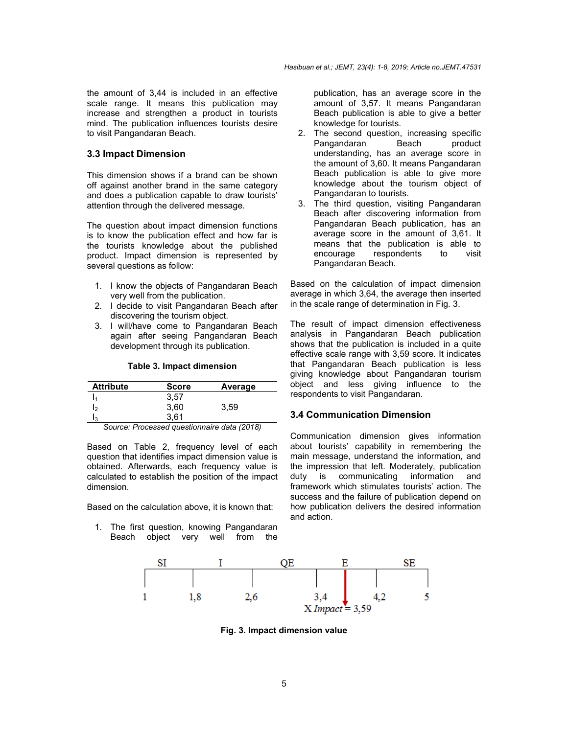the amount of 3,44 is included in an effective scale range. It means this publication may increase and strengthen a product in tourists mind. The publication influences tourists desire to visit Pangandaran Beach.

#### **3.3 Impact Dimension**

This dimension shows if a brand can be shown off against another brand in the same category and does a publication capable to draw tourists' attention through the delivered message.

The question about impact dimension functions is to know the publication effect and how far is the tourists knowledge about the published product. Impact dimension is represented by several questions as follow:

- 1. I know the objects of Pangandaran Beach very well from the publication.
- 2. I decide to visit Pangandaran Beach after discovering the tourism object.
- 3. I will/have come to Pangandaran Beach again after seeing Pangandaran Beach development through its publication.

#### **Table 3. Impact dimension**

| <b>Attribute</b>              | <b>Score</b> | Average                                               |
|-------------------------------|--------------|-------------------------------------------------------|
|                               | 3,57         |                                                       |
| 12                            | 3,60         | 3,59                                                  |
| I٩                            | 3.61         |                                                       |
| $\overline{\phantom{0}}$<br>- | <br>$\cdot$  | $\sim$ $\sim$ $\sim$ $\sim$ $\sim$<br>$\cdot$ $\cdot$ |

*Source: Processed questionnaire data (2018)*

Based on Table 2, frequency level of each question that identifies impact dimension value is obtained. Afterwards, each frequency value is calculated to establish the position of the impact dimension.

Based on the calculation above, it is known that:

1. The first question, knowing Pangandaran Beach object very well from the publication, has an average score in the amount of 3,57. It means Pangandaran Beach publication is able to give a better knowledge for tourists.

- 2. The second question, increasing specific Pangandaran Beach product understanding, has an average score in the amount of 3,60. It means Pangandaran Beach publication is able to give more knowledge about the tourism object of Pangandaran to tourists.
- 3. The third question, visiting Pangandaran Beach after discovering information from Pangandaran Beach publication, has an average score in the amount of 3,61. It means that the publication is able to encourage respondents to visit Pangandaran Beach.

Based on the calculation of impact dimension average in which 3,64, the average then inserted in the scale range of determination in Fig. 3.

The result of impact dimension effectiveness analysis in Pangandaran Beach publication shows that the publication is included in a quite effective scale range with 3,59 score. It indicates that Pangandaran Beach publication is less giving knowledge about Pangandaran tourism object and less giving influence to the respondents to visit Pangandaran.

## **3.4 Communication Dimension**

Communication dimension gives information about tourists' capability in remembering the main message, understand the information, and the impression that left. Moderately, publication duty is communicating information and framework which stimulates tourists' action. The success and the failure of publication depend on how publication delivers the desired information and action.



**Fig. 3. Impact dimension value**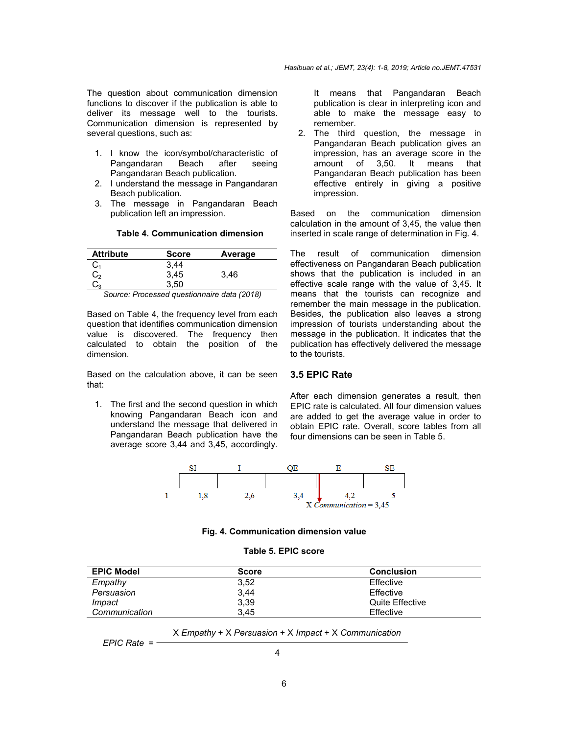The question about communication dimension functions to discover if the publication is able to deliver its message well to the tourists. Communication dimension is represented by several questions, such as:

- 1. I know the icon/symbol/characteristic of Pangandaran Beach after seeing Pangandaran Beach publication.
- 2. I understand the message in Pangandaran Beach publication.
- 3. The message in Pangandaran Beach publication left an impression.

#### **Table 4. Communication dimension**

| <b>Attribute</b>        | <b>Score</b> | Average |
|-------------------------|--------------|---------|
| $\mathtt{C}_\mathtt{1}$ | 3,44         |         |
| $\textsf{C}_2$          | 3,45         | 3,46    |
| $\mathrm{C}_3$          | 3,50         |         |

*Source: Processed questionnaire data (2018)*

Based on Table 4, the frequency level from each question that identifies communication dimension value is discovered. The frequency then calculated to obtain the position of the dimension.

Based on the calculation above, it can be seen that:

1. The first and the second question in which knowing Pangandaran Beach icon and understand the message that delivered in Pangandaran Beach publication have the average score 3,44 and 3,45, accordingly. It means that Pangandaran Beach publication is clear in interpreting icon and able to make the message easy to remember.

2. The third question, the message in Pangandaran Beach publication gives an impression, has an average score in the amount of 3,50. It means that Pangandaran Beach publication has been effective entirely in giving a positive impression.

Based on the communication dimension calculation in the amount of 3,45, the value then inserted in scale range of determination in Fig. 4.

The result of communication dimension effectiveness on Pangandaran Beach publication shows that the publication is included in an effective scale range with the value of 3,45. It means that the tourists can recognize and remember the main message in the publication. Besides, the publication also leaves a strong impression of tourists understanding about the message in the publication. It indicates that the publication has effectively delivered the message to the tourists.

#### **3.5 EPIC Rate**

After each dimension generates a result, then EPIC rate is calculated. All four dimension values are added to get the average value in order to obtain EPIC rate. Overall, score tables from all four dimensions can be seen in Table 5.



#### **Fig. 4. Communication dimension value**

#### **Table 5. EPIC score**

| <b>EPIC Model</b> | <b>Score</b> | <b>Conclusion</b> |
|-------------------|--------------|-------------------|
| Empathy           | 3,52         | Effective         |
| Persuasion        | 3.44         | Effective         |
| Impact            | 3,39         | Quite Effective   |
| Communication     | 3.45         | Effective         |

X *Empathy* + X *Persuasion* + X *Impact* + X *Communication*

*EPIC Rate* =

4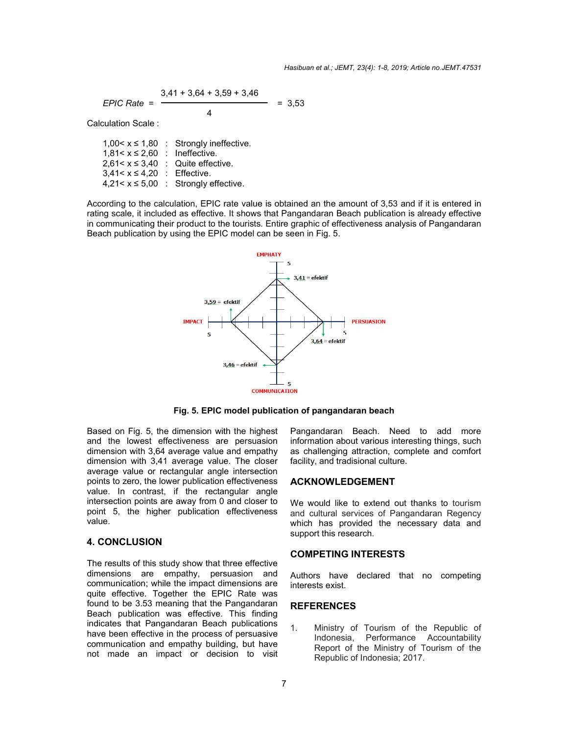$$
EPIC Rate = \frac{3,41 + 3,64 + 3,59 + 3,46}{4} = 3,53
$$

Calculation Scale :

1,00< $x \le 1,80$  : Strongly ineffective.  $1,81 < x \leq 2,60$  : Ineffective.  $2,61 < x \leq 3,40$  : Quite effective. 3,41< x ≤ 4,20 : Effective.  $4,21 < x \leq 5,00$  : Strongly effective.

According to the calculation, EPIC rate value is obtained an the amount of 3,53 and if it is entered in According to the calculation, EPIC rate value is obtained an the amount of 3,53 and if it is entered in<br>rating scale, it included as effective. It shows that Pangandaran Beach publication is already effective in communicating their product to the tourists. Entire graphic of effectiveness analysis of Pangandaran Beach publication by using the EPIC model can be seen in Fig. 5.



**Fig. 5. EPIC model publication of pangandaran beach**

Based on Fig. 5, the dimension with the highest and the lowest effectiveness are persuasion dimension with 3,64 average value and empathy dimension with 3,41 average value. The closer average value or rectangular angle intersection points to zero, the lower publication value. In contrast, if the rectangular angle intersection points are away from 0 and closer to point 5, the higher publication effectiveness value. d on Fig. 5, the dimension with the highest<br>the lowest effectiveness are persuasion<br>nsion with 3,64 average value and empathy<br>nsion with 3,41 average value. The closer<br>ge value or rectangular angle intersection<br>s to zero,

## **4. CONCLUSION**

The results of this study show that three effective dimensions are empathy, persuasion and communication; while the impact dimensions are quite effective. Together the EPIC Rate was found to be 3.53 meaning that the Pangandaran Beach publication was effective. This finding indicates that Pangandaran Beach publications have been effective in the process of persuasive communication and empathy building, but have not made an impact or decision to visit Based on Fig. 5, the dimension with the highest Pangandaran Beach. Need to add more<br>and the lowest effectiveness are persuasion information about various interesting things, such<br>dimension with 3.64 average value and empat

information about various interesting things, such as challenging attraction, complete and comfor facility, and tradisional culture.

## **ACKNOWLEDGEMENT**

We would like to extend out thanks to tourism and cultural services of Pangandaran Regency which has provided the necessary data and support this research.

## **COMPETING INTERESTS**

Authors have declared that no competing interests exist.

## **REFERENCES**

1. Ministry of Tourism of the Republic of Indonesia, Performance Accountability Report of the Ministry of Tourism of the Republic of Indonesia; 2017. vided the necessary data and<br>earch.<br>**INTERESTS**<br>declared that no competing<br>5<br>of Tourism of the Republic of<br>, Performance Accountability<br>i the Ministry of Tourism of the<br>of Indonesia; 2017.